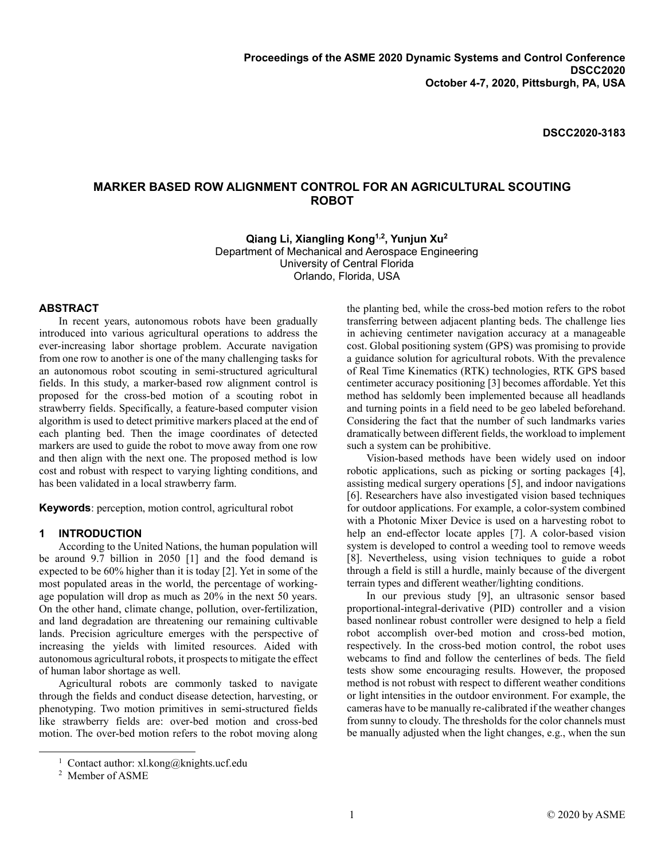**DSCC2020-3183**

# **MARKER BASED ROW ALIGNMENT CONTROL FOR AN AGRICULTURAL SCOUTING ROBOT**

**Qiang Li, Xiangling Kong1,2 , Yunjun Xu<sup>2</sup>** Department of Mechanical and Aerospace Engineering University of Central Florida Orlando, Florida, USA

### **ABSTRACT**

In recent years, autonomous robots have been gradually introduced into various agricultural operations to address the ever-increasing labor shortage problem. Accurate navigation from one row to another is one of the many challenging tasks for an autonomous robot scouting in semi-structured agricultural fields. In this study, a marker-based row alignment control is proposed for the cross-bed motion of a scouting robot in strawberry fields. Specifically, a feature-based computer vision algorithm is used to detect primitive markers placed at the end of each planting bed. Then the image coordinates of detected markers are used to guide the robot to move away from one row and then align with the next one. The proposed method is low cost and robust with respect to varying lighting conditions, and has been validated in a local strawberry farm.

**Keywords**: perception, motion control, agricultural robot

### **1 INTRODUCTION**

According to the United Nations, the human population will be around 9.7 billion in 2050 [\[1\]](#page-5-0) and the food demand is expected to be 60% higher than it is today [\[2\].](#page-5-1) Yet in some of the most populated areas in the world, the percentage of workingage population will drop as much as 20% in the next 50 years. On the other hand, climate change, pollution, over-fertilization, and land degradation are threatening our remaining cultivable lands. Precision agriculture emerges with the perspective of increasing the yields with limited resources. Aided with autonomous agricultural robots, it prospects to mitigate the effect of human labor shortage as well.

Agricultural robots are commonly tasked to navigate through the fields and conduct disease detection, harvesting, or phenotyping. Two motion primitives in semi-structured fields like strawberry fields are: over-bed motion and cross-bed motion. The over-bed motion refers to the robot moving along

 $\overline{a}$ 

the planting bed, while the cross-bed motion refers to the robot transferring between adjacent planting beds. The challenge lies in achieving centimeter navigation accuracy at a manageable cost. Global positioning system (GPS) was promising to provide a guidance solution for agricultural robots. With the prevalence of Real Time Kinematics (RTK) technologies, RTK GPS based centimeter accuracy positioning [\[3\]](#page-5-2) becomes affordable. Yet this method has seldomly been implemented because all headlands and turning points in a field need to be geo labeled beforehand. Considering the fact that the number of such landmarks varies dramatically between different fields, the workload to implement such a system can be prohibitive.

Vision-based methods have been widely used on indoor robotic applications, such as picking or sorting packages [\[4\],](#page-5-3) assisting medical surgery operations [\[5\],](#page-6-0) and indoor navigations [\[6\].](#page-6-1) Researchers have also investigated vision based techniques for outdoor applications. For example, a color-system combined with a Photonic Mixer Device is used on a harvesting robot to help an end-effector locate apples [\[7\].](#page-6-2) A color-based vision system is developed to control a weeding tool to remove weeds [\[8\].](#page-6-3) Nevertheless, using vision techniques to guide a robot through a field is still a hurdle, mainly because of the divergent terrain types and different weather/lighting conditions.

In our previous study [\[9\],](#page-6-4) an ultrasonic sensor based proportional-integral-derivative (PID) controller and a vision based nonlinear robust controller were designed to help a field robot accomplish over-bed motion and cross-bed motion, respectively. In the cross-bed motion control, the robot uses webcams to find and follow the centerlines of beds. The field tests show some encouraging results. However, the proposed method is not robust with respect to different weather conditions or light intensities in the outdoor environment. For example, the cameras have to be manually re-calibrated if the weather changes from sunny to cloudy. The thresholds for the color channels must be manually adjusted when the light changes, e.g., when the sun

<sup>&</sup>lt;sup>1</sup> Contact author: xl.kong@knights.ucf.edu

<sup>2</sup> Member of ASME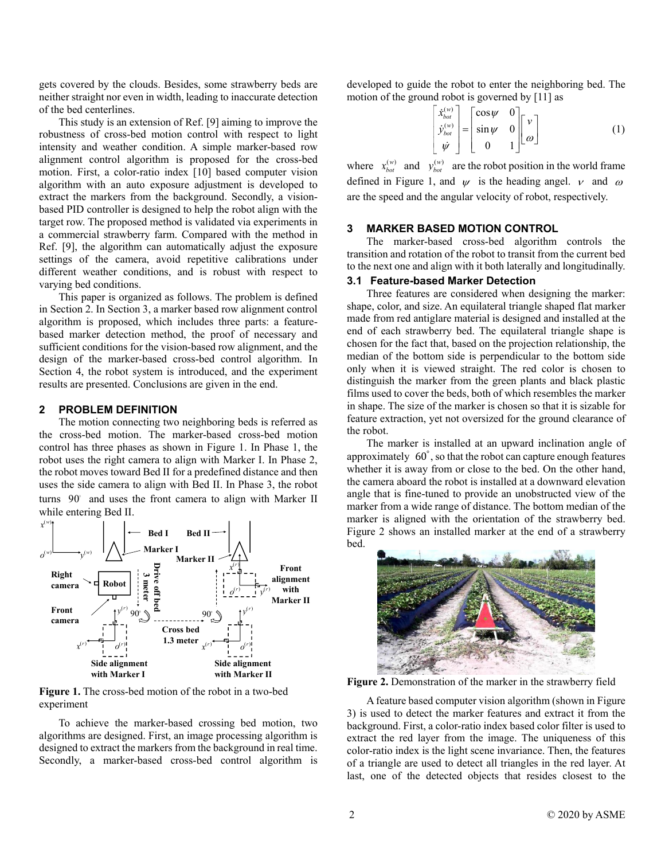gets covered by the clouds. Besides, some strawberry beds are neither straight nor even in width, leading to inaccurate detection of the bed centerlines.

This study is an extension of Ref. [\[9\]](#page-6-4) aiming to improve the robustness of cross-bed motion control with respect to light intensity and weather condition. A simple marker-based row alignment control algorithm is proposed for the cross-bed motion. First, a color-ratio index [\[10\]](#page-6-5) based computer vision algorithm with an auto exposure adjustment is developed to extract the markers from the background. Secondly, a visionbased PID controller is designed to help the robot align with the target row. The proposed method is validated via experiments in a commercial strawberry farm. Compared with the method in Ref. [\[9\],](#page-6-4) the algorithm can automatically adjust the exposure settings of the camera, avoid repetitive calibrations under different weather conditions, and is robust with respect to varying bed conditions.

This paper is organized as follows. The problem is defined in Section 2. In Section 3, a marker based row alignment control algorithm is proposed, which includes three parts: a featurebased marker detection method, the proof of necessary and sufficient conditions for the vision-based row alignment, and the design of the marker-based cross-bed control algorithm. In Section 4, the robot system is introduced, and the experiment results are presented. Conclusions are given in the end.

### **2 PROBLEM DEFINITION**

The motion connecting two neighboring beds is referred as the cross-bed motion. The marker-based cross-bed motion control has three phases as shown in [Figure 1.](#page-1-0) In Phase 1, the robot uses the right camera to align with Marker I. In Phase 2, the robot moves toward Bed II for a predefined distance and then uses the side camera to align with Bed II. In Phase 3, the robot turns 90° and uses the front camera to align with Marker II<br>while entering Bed II.<br> $x^{(w)}$ while entering Bed II.



<span id="page-1-0"></span>**Figure 1.** The cross-bed motion of the robot in a two-bed experiment

To achieve the marker-based crossing bed motion, two algorithms are designed. First, an image processing algorithm is designed to extract the markers from the background in real time. Secondly, a marker-based cross-bed control algorithm is

developed to guide the robot to enter the neighboring bed. The motion of the ground robot is governed by [\[11\]](#page-6-6) as

$$
\begin{bmatrix} \dot{x}_{bot}^{(w)} \\ \dot{y}_{bot}^{(w)} \\ \dot{\psi} \end{bmatrix} = \begin{bmatrix} \cos \psi & 0 \\ \sin \psi & 0 \\ 0 & 1 \end{bmatrix} \begin{bmatrix} v \\ \omega \end{bmatrix}
$$
 (1)

where  $x_{bot}^{(w)}$  and  $y_{bot}^{(w)}$  are the robot position in the world frame defined in [Figure 1,](#page-1-0) and  $\psi$  is the heading angel.  $\nu$  and  $\omega$ are the speed and the angular velocity of robot, respectively.

# **3 MARKER BASED MOTION CONTROL**

The marker-based cross-bed algorithm controls the transition and rotation of the robot to transit from the current bed to the next one and align with it both laterally and longitudinally.

### **3.1 Feature-based Marker Detection**

Three features are considered when designing the marker: shape, color, and size. An equilateral triangle shaped flat marker made from red antiglare material is designed and installed at the end of each strawberry bed. The equilateral triangle shape is chosen for the fact that, based on the projection relationship, the median of the bottom side is perpendicular to the bottom side only when it is viewed straight. The red color is chosen to distinguish the marker from the green plants and black plastic films used to cover the beds, both of which resembles the marker in shape. The size of the marker is chosen so that it is sizable for feature extraction, yet not oversized for the ground clearance of the robot.

The marker is installed at an upward inclination angle of approximately 60° , so that the robot can capture enough features whether it is away from or close to the bed. On the other hand, the camera aboard the robot is installed at a downward elevation angle that is fine-tuned to provide an unobstructed view of the marker from a wide range of distance. The bottom median of the marker is aligned with the orientation of the strawberry bed. [Figure 2](#page-1-1) shows an installed marker at the end of a strawberry bed.



**Figure 2.** Demonstration of the marker in the strawberry field

<span id="page-1-1"></span>A feature based computer vision algorithm (shown in [Figure](#page-2-0)  [3\)](#page-2-0) is used to detect the marker features and extract it from the background. First, a color-ratio index based color filter is used to extract the red layer from the image. The uniqueness of this color-ratio index is the light scene invariance. Then, the features of a triangle are used to detect all triangles in the red layer. At last, one of the detected objects that resides closest to the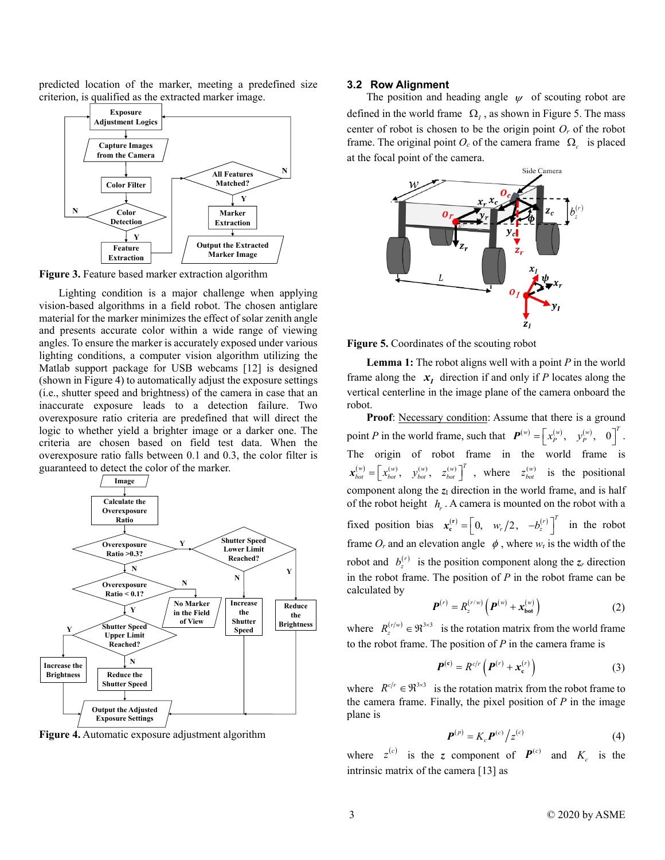predicted location of the marker, meeting a predefined size criterion, is qualified as the extracted marker image.



<span id="page-2-0"></span>**Figure 3.** Feature based marker extraction algorithm

Lighting condition is a major challenge when applying vision-based algorithms in a field robot. The chosen antiglare material for the marker minimizes the effect of solar zenith angle and presents accurate color within a wide range of viewing angles. To ensure the marker is accurately exposed under various lighting conditions, a computer vision algorithm utilizing the Matlab support package for USB webcams [\[12\]](#page-6-7) is designed (shown in [Figure 4\)](#page-2-1) to automatically adjust the exposure settings (i.e., shutter speed and brightness) of the camera in case that an inaccurate exposure leads to a detection failure. Two overexposure ratio criteria are predefined that will direct the logic to whether yield a brighter image or a darker one. The criteria are chosen based on field test data. When the overexposure ratio falls between 0.1 and 0.3, the color filter is guaranteed to detect the color of the marker.



<span id="page-2-1"></span>**Figure 4.** Automatic exposure adjustment algorithm

### **3.2 Row Alignment**

The position and heading angle  $\psi$  of scouting robot are defined in the world frame  $\Omega_l$ , as shown in [Figure 5.](#page-2-2) The mass center of robot is chosen to be the origin point  $O_r$  of the robot frame. The original point  $O_c$  of the camera frame  $\Omega_c$  is placed at the focal point of the camera.



<span id="page-2-2"></span>**Figure 5.** Coordinates of the scouting robot

<span id="page-2-3"></span>**Lemma 1:** The robot aligns well with a point *P* in the world frame along the  $x_i$  direction if and only if *P* locates along the vertical centerline in the image plane of the camera onboard the robot.

Proof: Necessary condition: Assume that there is a ground point *P* in the world frame, such that  $\boldsymbol{P}^{(w)} = \begin{bmatrix} x_p^{(w)}, & y_p^{(w)}, & 0 \end{bmatrix}^T$ . The origin of robot frame in the world frame is  $\mathbf{x}_{bot}^{(w)} = \begin{bmatrix} x_{bot}^{(w)}, & y_{bot}^{(w)}, & z_{bot}^{(w)} \end{bmatrix}^T$ , where  $z_{bot}^{(w)}$  is the positional component along the  $z<sub>I</sub>$  direction in the world frame, and is half of the robot height  $h_{\mu}$ . A camera is mounted on the robot with a fixed position bias  $\mathbf{x}_{\mathbf{c}}^{(r)} = \begin{bmatrix} 0, & w_r/2, & -b_z^{(r)} \end{bmatrix}^T$  in the robot frame  $O_r$  and an elevation angle  $\phi$ , where  $w_r$  is the width of the robot and  $b_z^{(r)}$  is the position component along the  $z_r$  direction in the robot frame. The position of *P* in the robot frame can be calculated by

$$
P^{(r)} = R_z^{(r/w)} \left( P^{(w)} + x_{\text{bot}}^{(w)} \right)
$$
 (2)

where  $R_z^{(r/w)} \in \mathfrak{R}^{3 \times 3}$  is the rotation matrix from the world frame to the robot frame. The position of *P* in the camera frame is

$$
\boldsymbol{P}^{(c)} = R^{c/r} \left( \boldsymbol{P}^{(r)} + \boldsymbol{x}_c^{(r)} \right) \tag{3}
$$

where  $R^{c/r} \in \mathfrak{R}^{3 \times 3}$  is the rotation matrix from the robot frame to the camera frame. Finally, the pixel position of  $P$  in the image plane is

$$
\boldsymbol{P}^{(p)} = K_c \boldsymbol{P}^{(c)} / z^{(c)}
$$
 (4)

where  $z^{(c)}$  is the *z* component of  $P^{(c)}$  and  $K_c$  is the intrinsic matrix of the camera [\[13\]](#page-6-8) as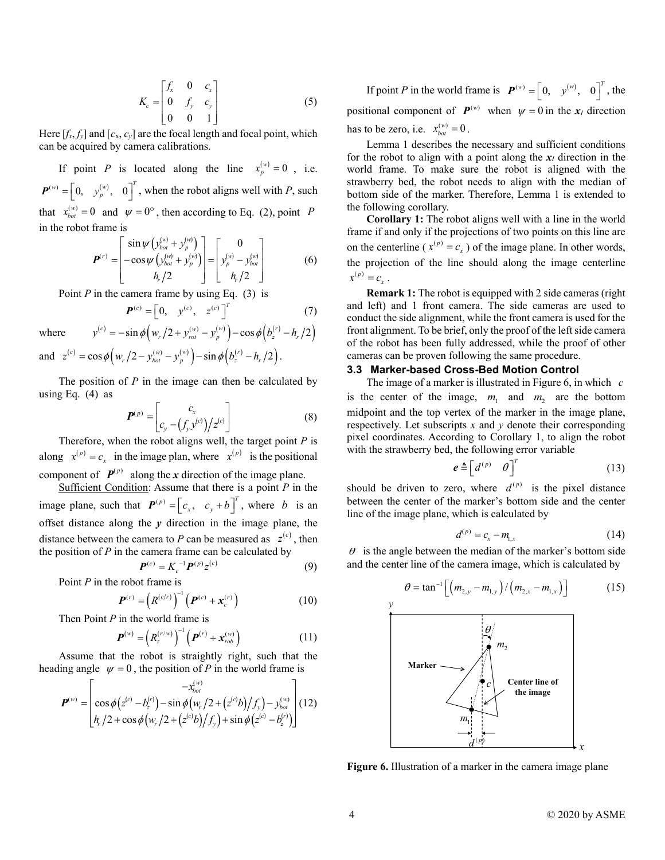$$
K_c = \begin{bmatrix} f_x & 0 & c_x \\ 0 & f_y & c_y \\ 0 & 0 & 1 \end{bmatrix}
$$
 (5)

Here  $[f_x, f_y]$  and  $[c_x, c_y]$  are the focal length and focal point, which can be acquired by camera calibrations.

If point *P* is located along the line  $x_p^{(w)} = 0$ , i.e.  $P^{(w)} = \begin{bmatrix} 0, & y_p^{(w)}, & 0 \end{bmatrix}^T$ , when the robot aligns well with *P*, such that  $x_{bot}^{(w)} = 0$  and  $\psi = 0^{\circ}$ , then according to Eq. (2), point P in the robot frame is

$$
\boldsymbol{P}^{(r)} = \begin{bmatrix} \sin \psi \left( y_{bot}^{(w)} + y_p^{(w)} \right) \\ -\cos \psi \left( y_{bot}^{(w)} + y_p^{(w)} \right) \\ h_r / 2 \end{bmatrix} = \begin{bmatrix} 0 \\ y_p^{(w)} - y_{bot}^{(w)} \\ h_r / 2 \end{bmatrix}
$$
(6)

 $y^{(c)} = -\sin\phi \left( w_r / 2 + y_{rot}^{(w)} - y_p^{(w)} \right) - \cos\phi \left( b_z^{(r)} - h_r / 2 \right)$ 

Point *P* in the camera frame by using Eq. (3) is

$$
\boldsymbol{P}^{(c)} = \begin{bmatrix} 0, & y^{(c)}, & z^{(c)} \end{bmatrix}^T \tag{7}
$$

where

where  $y^{(c)} = -\sin \phi \left( w_r / 2 + y_{rot}^{(w)} - y_p^{(w)} \right) - \cos \phi \left( b_z^{(r)} - h_r / 2 \right)$ <br>and  $z^{(c)} = \cos \phi \left( w_r / 2 - y_{tot}^{(w)} - y_p^{(w)} \right) - \sin \phi \left( b_z^{(r)} - h_r / 2 \right)$ .

The position of *P* in the image can then be calculated by using Eq. (4) as

$$
\boldsymbol{P}^{(p)} = \begin{bmatrix} c_x \\ c_y - (f_y y^{(c)}) / z^{(c)} \end{bmatrix}
$$
 (8)

Therefore, when the robot aligns well, the target point *P* is along  $x^{(p)} = c_x$  in the image plan, where  $x^{(p)}$  is the positional component of  $P^{(p)}$  along the *x* direction of the image plane.

Sufficient Condition: Assume that there is a point *P* in the image plane, such that  $P^{(p)} = \begin{bmatrix} c_x, & c_y + b \end{bmatrix}^T$ , where *b* is an offset distance along the *y* direction in the image plane, the distance between the camera to P can be measured as  $z^{(c)}$ , then the position of *P* in the camera frame can be calculated by

$$
\boldsymbol{P}^{(c)} = K_c^{-1} \boldsymbol{P}^{(p)} z^{(c)} \tag{9}
$$

Point *P* in the robot frame is

$$
\boldsymbol{P}^{(r)} = \left(R^{(c/r)}\right)^{-1} \left(\boldsymbol{P}^{(c)} + \boldsymbol{x}_c^{(r)}\right)
$$
 (10)

Then Point *P* in the world frame is

$$
\boldsymbol{P}^{(w)} = \left(R_z^{(r/w)}\right)^{-1} \left(\boldsymbol{P}^{(r)} + \boldsymbol{x}_{rob}^{(w)}\right)
$$
 (11)

Assume that the robot is straightly right, such that the

$$
\text{ heading angle } \psi = 0 \text{, the position of } P \text{ in the world frame is} \\
P^{(w)} = \begin{bmatrix} -x_{bot}^{(w)} \\ \cos \phi (z^{(c)} - b_z^{(r)}) - \sin \phi (w_r/2 + (z^{(c)}b)/f_y) - y_{bot}^{(w)} \\ h_r/2 + \cos \phi (w_r/2 + (z^{(c)}b)/f_y) + \sin \phi (z^{(c)} - b_z^{(r)}) \end{bmatrix} (12)
$$

If point *P* in the world frame is  $P^{(w)} = \begin{bmatrix} 0, & y^{(w)}, & 0 \end{bmatrix}^T$ , the positional component of  $P^{(w)}$  when  $\psi = 0$  in the  $x_I$  direction has to be zero, i.e.  $x_{bot}^{(w)} = 0$ .

[Lemma 1](#page-2-3) describes the necessary and sufficient conditions for the robot to align with a point along the  $x_I$  direction in the world frame. To make sure the robot is aligned with the strawberry bed, the robot needs to align with the median of bottom side of the marker. Therefore, [Lemma 1](#page-2-3) is extended to the following corollary.

**Corollary 1:** The robot aligns well with a line in the world frame if and only if the projections of two points on this line are on the centerline ( $x^{(p)} = c_x$ ) of the image plane. In other words, the projection of the line should along the image centerline  $x^{(p)} = c_x$ .

**Remark 1:** The robot is equipped with 2 side cameras (right and left) and 1 front camera. The side cameras are used to conduct the side alignment, while the front camera is used for the front alignment. To be brief, only the proof of the left side camera of the robot has been fully addressed, while the proof of other cameras can be proven following the same procedure.

# **3.3 Marker-based Cross-Bed Motion Control**

The image of a marker is illustrated i[n Figure 6,](#page-3-0) in which *c* is the center of the image,  $m_1$  and  $m_2$  are the bottom midpoint and the top vertex of the marker in the image plane, respectively. Let subscripts *x* and *y* denote their corresponding pixel coordinates. According to Corollary 1, to align the robot with the strawberry bed, the following error variable

$$
\boldsymbol{e} \triangleq \begin{bmatrix} d^{(p)} & \theta \end{bmatrix}^T \tag{13}
$$

should be driven to zero, where  $d^{(p)}$  is the pixel distance between the center of the marker's bottom side and the center line of the image plane, which is calculated by

$$
d^{(p)} = c_x - m_{1,x} \tag{14}
$$

 $\theta$  is the angle between the median of the marker's bottom side and the center line of the camera image, which is calculated by

$$
\theta = \tan^{-1}\left[ \left( m_{2,y} - m_{1,y} \right) / \left( m_{2,x} - m_{1,x} \right) \right]
$$
\n<sup>y</sup>



<span id="page-3-0"></span>**Figure 6.** Illustration of a marker in the camera image plane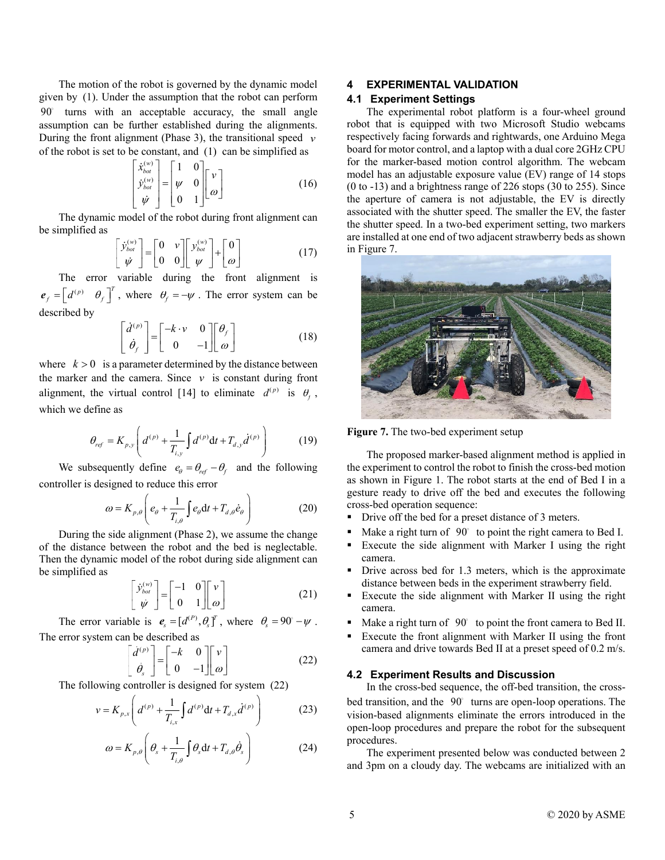The motion of the robot is governed by the dynamic model given by (1). Under the assumption that the robot can perform 90 turns with an acceptable accuracy, the small angle assumption can be further established during the alignments. During the front alignment (Phase 3), the transitional speed *v* of the robot is set to be constant, and (1) can be simplified as

$$
\begin{bmatrix} \dot{x}_{bot}^{(w)} \\ \dot{y}_{bot}^{(w)} \\ \dot{\psi} \end{bmatrix} = \begin{bmatrix} 1 & 0 \\ \psi & 0 \\ 0 & 1 \end{bmatrix} \begin{bmatrix} v \\ \omega \end{bmatrix}
$$
 (16)

The dynamic model of the robot during front alignment can be simplified as

$$
\begin{bmatrix} \dot{\mathbf{y}}_{bot}^{(w)} \\ \dot{\mathbf{y}} \end{bmatrix} = \begin{bmatrix} 0 & v \\ 0 & 0 \end{bmatrix} \begin{bmatrix} \mathbf{y}_{bot}^{(w)} \\ \mathbf{y} \end{bmatrix} + \begin{bmatrix} 0 \\ \omega \end{bmatrix}
$$
 (17)

The error variable during the front alignment is  $e_f = \begin{bmatrix} d^{(p)} & \theta_f \end{bmatrix}^T$ , where  $\theta_f = -\psi$ . The error system can be described by

$$
\begin{bmatrix} \dot{d}^{(p)} \\ \dot{\theta}_f \end{bmatrix} = \begin{bmatrix} -k \cdot v & 0 \\ 0 & -1 \end{bmatrix} \begin{bmatrix} \theta_f \\ \omega \end{bmatrix}
$$
 (18)

where  $k > 0$  is a parameter determined by the distance between the marker and the camera. Since  $\nu$  is constant during front alignment, the virtual control [\[14\]](#page-6-9) to eliminate  $d^{(p)}$  is  $\theta_j$ , which we define as

$$
\theta_{ref} = K_{p,y} \left( d^{(p)} + \frac{1}{T_{i,y}} \int d^{(p)} dt + T_{d,y} d^{(p)} \right)
$$
(19)

We subsequently define  $e_{\theta} = \theta_{ref} - \theta_{f}$  and the following controller is designed to reduce this error<br> $V = \begin{pmatrix} 1 & 1 \\ 1 & 1 \end{pmatrix}$ 

$$
\omega = K_{p,\theta} \left( e_{\theta} + \frac{1}{T_{i,\theta}} \int e_{\theta} dt + T_{d,\theta} \dot{e}_{\theta} \right)
$$
 (20)

During the side alignment (Phase 2), we assume the change of the distance between the robot and the bed is neglectable. Then the dynamic model of the robot during side alignment can be simplified as

$$
\begin{bmatrix} \dot{\mathbf{y}}_{bot}^{(w)} \\ \dot{\mathbf{y}} \end{bmatrix} = \begin{bmatrix} -1 & 0 \\ 0 & 1 \end{bmatrix} \begin{bmatrix} v \\ \omega \end{bmatrix}
$$
 (21)

The error variable is  $e_s = [d^{(P)}, \theta_s]^T$ , where  $\theta_s = 90^\circ - \psi$ . The error system can be described as

$$
\begin{bmatrix} \dot{d}^{(p)} \\ \dot{\theta}_s \end{bmatrix} = \begin{bmatrix} -k & 0 \\ 0 & -1 \end{bmatrix} \begin{bmatrix} v \\ \omega \end{bmatrix}
$$
 (22)

The following controller is designed for system (22)

$$
v = K_{p,x} \left( d^{(p)} + \frac{1}{T_{i,x}} \int d^{(p)} dt + T_{d,x} d^{(p)} \right)
$$
 (23)

$$
\omega = K_{p,\theta} \left( \theta_s + \frac{1}{T_{i,\theta}} \int \theta_s dt + T_{d,\theta} \dot{\theta}_s \right)
$$
 (24)

# **4 EXPERIMENTAL VALIDATION**

# **4.1 Experiment Settings**

The experimental robot platform is a four-wheel ground robot that is equipped with two Microsoft Studio webcams respectively facing forwards and rightwards, one Arduino Mega board for motor control, and a laptop with a dual core 2GHz CPU for the marker-based motion control algorithm. The webcam model has an adjustable exposure value (EV) range of 14 stops (0 to -13) and a brightness range of 226 stops (30 to 255). Since the aperture of camera is not adjustable, the EV is directly associated with the shutter speed. The smaller the EV, the faster the shutter speed. In a two-bed experiment setting, two markers are installed at one end of two adjacent strawberry beds as shown in [Figure 7.](#page-4-0)



**Figure 7.** The two-bed experiment setup

<span id="page-4-0"></span>The proposed marker-based alignment method is applied in the experiment to control the robot to finish the cross-bed motion as shown in [Figure 1.](#page-1-0) The robot starts at the end of Bed I in a gesture ready to drive off the bed and executes the following cross-bed operation sequence:

- Drive off the bed for a preset distance of 3 meters.
- Make a right turn of 90° to point the right camera to Bed I.
- Execute the side alignment with Marker I using the right camera.
- Drive across bed for 1.3 meters, which is the approximate distance between beds in the experiment strawberry field.
- Execute the side alignment with Marker II using the right camera.
- $\blacksquare$  Make a right turn of  $90^\circ$  to point the front camera to Bed II.
- Execute the front alignment with Marker II using the front camera and drive towards Bed II at a preset speed of 0.2 m/s.

# **4.2 Experiment Results and Discussion**

In the cross-bed sequence, the off-bed transition, the crossbed transition, and the 90° turns are open-loop operations. The vision-based alignments eliminate the errors introduced in the open-loop procedures and prepare the robot for the subsequent procedures.

The experiment presented below was conducted between 2 and 3pm on a cloudy day. The webcams are initialized with an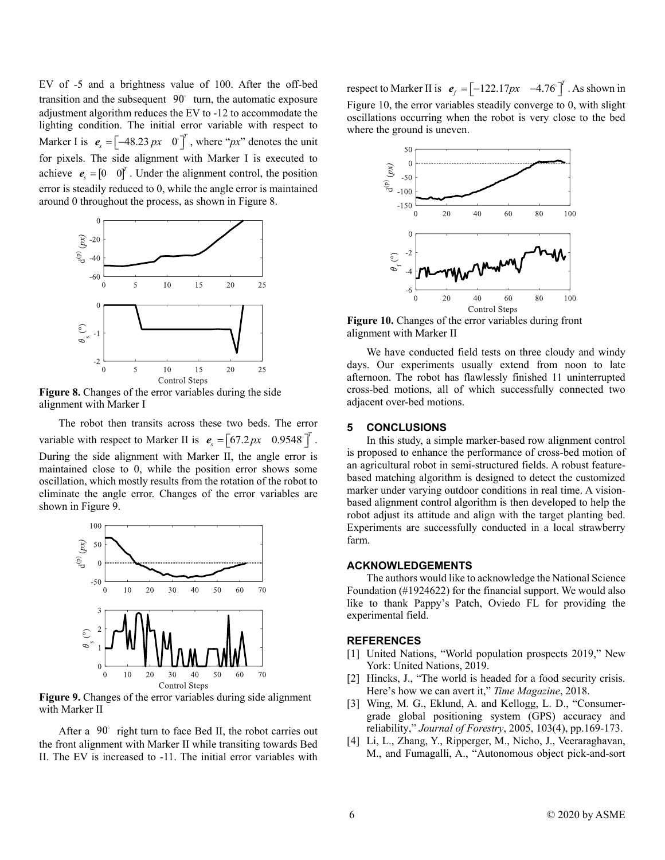EV of -5 and a brightness value of 100. After the off-bed transition and the subsequent 90 turn, the automatic exposure adjustment algorithm reduces the EV to -12 to accommodate the lighting condition. The initial error variable with respect to Marker I is  $e_s = \begin{bmatrix} -48.23 \, px & 0 \end{bmatrix}^T$ , where " $px$ " denotes the unit for pixels. The side alignment with Marker I is executed to achieve  $e_s = \begin{bmatrix} 0 & 0 \end{bmatrix}^T$ . Under the alignment control, the position error is steadily reduced to 0, while the angle error is maintained around 0 throughout the process, as shown in [Figure 8.](#page-5-4)



<span id="page-5-4"></span>**Figure 8.** Changes of the error variables during the side alignment with Marker I

The robot then transits across these two beds. The error variable with respect to Marker II is  $e_s = \begin{bmatrix} 67.2 \, px & 0.9548 \end{bmatrix}^T$ . During the side alignment with Marker II, the angle error is maintained close to 0, while the position error shows some oscillation, which mostly results from the rotation of the robot to eliminate the angle error. Changes of the error variables are shown in [Figure 9.](#page-5-5)



<span id="page-5-5"></span>**Figure 9.** Changes of the error variables during side alignment with Marker II

After a 90 right turn to face Bed II, the robot carries out the front alignment with Marker II while transiting towards Bed II. The EV is increased to -11. The initial error variables with

respect to Marker II is  $e_f = \begin{bmatrix} -122.17px & -4.76 \end{bmatrix}^T$ . As shown in [Figure 10,](#page-5-6) the error variables steadily converge to 0, with slight oscillations occurring when the robot is very close to the bed where the ground is uneven.



<span id="page-5-6"></span>**Figure 10.** Changes of the error variables during front alignment with Marker II

We have conducted field tests on three cloudy and windy days. Our experiments usually extend from noon to late afternoon. The robot has flawlessly finished 11 uninterrupted cross-bed motions, all of which successfully connected two adjacent over-bed motions.

### **5 CONCLUSIONS**

In this study, a simple marker-based row alignment control is proposed to enhance the performance of cross-bed motion of an agricultural robot in semi-structured fields. A robust featurebased matching algorithm is designed to detect the customized marker under varying outdoor conditions in real time. A visionbased alignment control algorithm is then developed to help the robot adjust its attitude and align with the target planting bed. Experiments are successfully conducted in a local strawberry farm.

### **ACKNOWLEDGEMENTS**

The authors would like to acknowledge the National Science Foundation (#1924622) for the financial support. We would also like to thank Pappy's Patch, Oviedo FL for providing the experimental field.

#### **REFERENCES**

- <span id="page-5-0"></span>[1] United Nations, "World population prospects 2019," New York: United Nations, 2019.
- <span id="page-5-1"></span>[2] Hincks, J., "The world is headed for a food security crisis. Here's how we can avert it," *Time Magazine*, 2018.
- <span id="page-5-2"></span>[3] Wing, M. G., Eklund, A. and Kellogg, L. D., "Consumergrade global positioning system (GPS) accuracy and reliability," *Journal of Forestry*, 2005, 103(4), pp.169-173.
- <span id="page-5-3"></span>[4] Li, L., Zhang, Y., Ripperger, M., Nicho, J., Veeraraghavan, M., and Fumagalli, A., "Autonomous object pick-and-sort